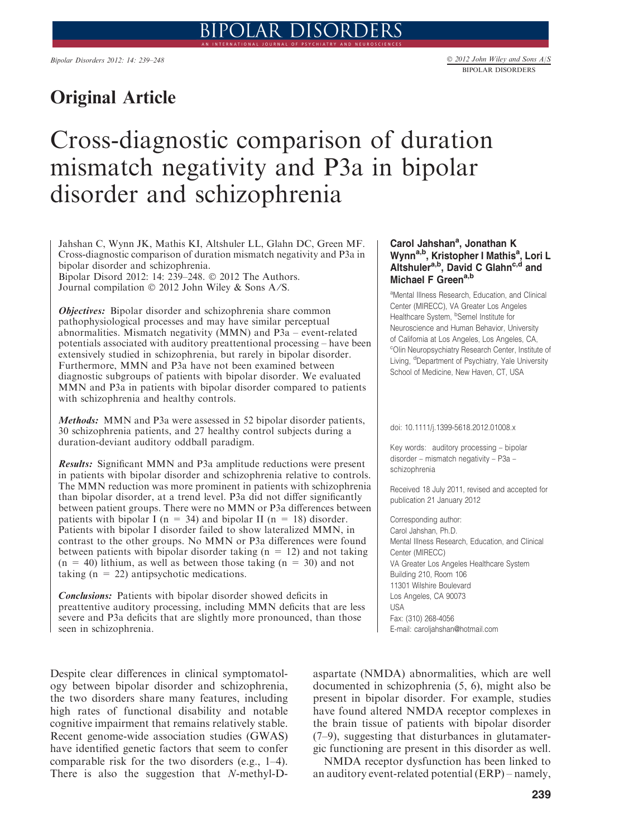## Original Article

# Cross-diagnostic comparison of duration mismatch negativity and P3a in bipolar disorder and schizophrenia

Jahshan C, Wynn JK, Mathis KI, Altshuler LL, Glahn DC, Green MF. Cross-diagnostic comparison of duration mismatch negativity and P3a in bipolar disorder and schizophrenia.

Bipolar Disord 2012: 14: 239–248. © 2012 The Authors. Journal compilation © 2012 John Wiley & Sons A/S.

**Objectives:** Bipolar disorder and schizophrenia share common pathophysiological processes and may have similar perceptual abnormalities. Mismatch negativity (MMN) and P3a – event-related potentials associated with auditory preattentional processing – have been extensively studied in schizophrenia, but rarely in bipolar disorder. Furthermore, MMN and P3a have not been examined between diagnostic subgroups of patients with bipolar disorder. We evaluated MMN and P3a in patients with bipolar disorder compared to patients with schizophrenia and healthy controls.

Methods: MMN and P3a were assessed in 52 bipolar disorder patients, 30 schizophrenia patients, and 27 healthy control subjects during a duration-deviant auditory oddball paradigm.

Results: Significant MMN and P3a amplitude reductions were present in patients with bipolar disorder and schizophrenia relative to controls. The MMN reduction was more prominent in patients with schizophrenia than bipolar disorder, at a trend level. P3a did not differ significantly between patient groups. There were no MMN or P3a differences between patients with bipolar I ( $n = 34$ ) and bipolar II ( $n = 18$ ) disorder. Patients with bipolar I disorder failed to show lateralized MMN, in contrast to the other groups. No MMN or P3a differences were found between patients with bipolar disorder taking  $(n = 12)$  and not taking  $(n = 40)$  lithium, as well as between those taking  $(n = 30)$  and not taking  $(n = 22)$  antipsychotic medications.

Conclusions: Patients with bipolar disorder showed deficits in preattentive auditory processing, including MMN deficits that are less severe and P3a deficits that are slightly more pronounced, than those seen in schizophrenia.

Despite clear differences in clinical symptomatology between bipolar disorder and schizophrenia, the two disorders share many features, including high rates of functional disability and notable cognitive impairment that remains relatively stable. Recent genome-wide association studies (GWAS) have identified genetic factors that seem to confer comparable risk for the two disorders (e.g., 1–4). There is also the suggestion that N-methyl-D-

## Carol Jahshan<sup>a</sup>, Jonathan K Wynn<sup>a,b</sup>, Kristopher I Mathis<sup>a</sup>, Lori L Altshuler<sup>a,b</sup>, David C Glahn<sup>c,d</sup> and Michael F Green<sup>a,b</sup>

aMental Illness Research, Education, and Clinical Center (MIRECC), VA Greater Los Angeles Healthcare System, <sup>b</sup>Semel Institute for Neuroscience and Human Behavior, University of California at Los Angeles, Los Angeles, CA, c Olin Neuropsychiatry Research Center, Institute of Living, <sup>d</sup>Department of Psychiatry, Yale University School of Medicine, New Haven, CT, USA

doi: 10.1111/j.1399-5618.2012.01008.x

Key words: auditory processing – bipolar disorder – mismatch negativity – P3a – schizophrenia

Received 18 July 2011, revised and accepted for publication 21 January 2012

Corresponding author: Carol Jahshan, Ph.D. Mental Illness Research, Education, and Clinical Center (MIRECC) VA Greater Los Angeles Healthcare System Building 210, Room 106 11301 Wilshire Boulevard Los Angeles, CA 90073 USA Fax: (310) 268-4056 E-mail: caroljahshan@hotmail.com

aspartate (NMDA) abnormalities, which are well documented in schizophrenia (5, 6), might also be present in bipolar disorder. For example, studies have found altered NMDA receptor complexes in the brain tissue of patients with bipolar disorder (7–9), suggesting that disturbances in glutamatergic functioning are present in this disorder as well.

NMDA receptor dysfunction has been linked to an auditory event-related potential (ERP) – namely,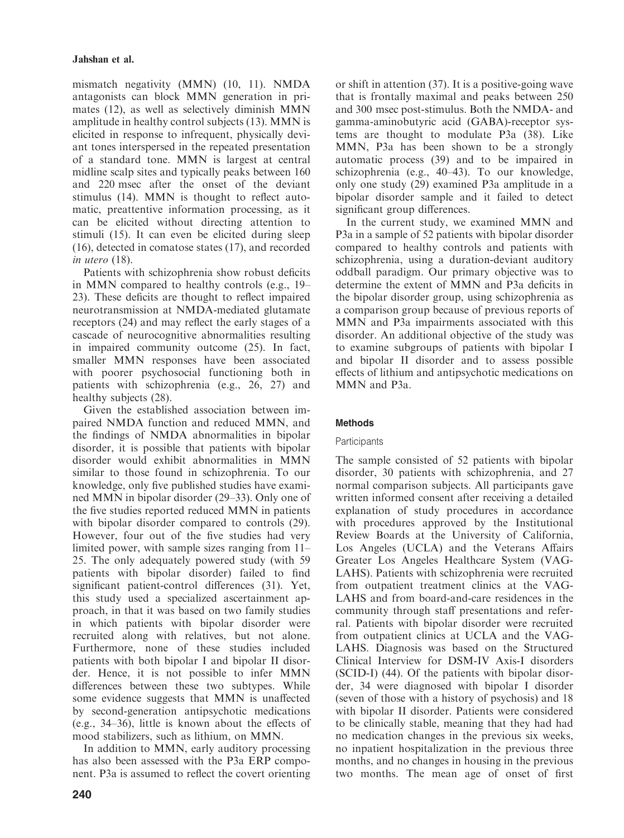mismatch negativity (MMN) (10, 11). NMDA antagonists can block MMN generation in primates (12), as well as selectively diminish MMN amplitude in healthy control subjects (13). MMN is elicited in response to infrequent, physically deviant tones interspersed in the repeated presentation of a standard tone. MMN is largest at central midline scalp sites and typically peaks between 160 and 220 msec after the onset of the deviant stimulus (14). MMN is thought to reflect automatic, preattentive information processing, as it can be elicited without directing attention to stimuli (15). It can even be elicited during sleep (16), detected in comatose states (17), and recorded in utero (18).

Patients with schizophrenia show robust deficits in MMN compared to healthy controls (e.g., 19– 23). These deficits are thought to reflect impaired neurotransmission at NMDA-mediated glutamate receptors (24) and may reflect the early stages of a cascade of neurocognitive abnormalities resulting in impaired community outcome (25). In fact, smaller MMN responses have been associated with poorer psychosocial functioning both in patients with schizophrenia (e.g., 26, 27) and healthy subjects (28).

Given the established association between impaired NMDA function and reduced MMN, and the findings of NMDA abnormalities in bipolar disorder, it is possible that patients with bipolar disorder would exhibit abnormalities in MMN similar to those found in schizophrenia. To our knowledge, only five published studies have examined MMN in bipolar disorder (29–33). Only one of the five studies reported reduced MMN in patients with bipolar disorder compared to controls (29). However, four out of the five studies had very limited power, with sample sizes ranging from 11– 25. The only adequately powered study (with 59 patients with bipolar disorder) failed to find significant patient-control differences (31). Yet, this study used a specialized ascertainment approach, in that it was based on two family studies in which patients with bipolar disorder were recruited along with relatives, but not alone. Furthermore, none of these studies included patients with both bipolar I and bipolar II disorder. Hence, it is not possible to infer MMN differences between these two subtypes. While some evidence suggests that MMN is unaffected by second-generation antipsychotic medications (e.g., 34–36), little is known about the effects of mood stabilizers, such as lithium, on MMN.

In addition to MMN, early auditory processing has also been assessed with the P3a ERP component. P3a is assumed to reflect the covert orienting or shift in attention (37). It is a positive-going wave that is frontally maximal and peaks between 250 and 300 msec post-stimulus. Both the NMDA- and gamma-aminobutyric acid (GABA)-receptor systems are thought to modulate P3a (38). Like MMN, P3a has been shown to be a strongly automatic process (39) and to be impaired in schizophrenia (e.g., 40–43). To our knowledge, only one study (29) examined P3a amplitude in a bipolar disorder sample and it failed to detect significant group differences.

In the current study, we examined MMN and P3a in a sample of 52 patients with bipolar disorder compared to healthy controls and patients with schizophrenia, using a duration-deviant auditory oddball paradigm. Our primary objective was to determine the extent of MMN and P3a deficits in the bipolar disorder group, using schizophrenia as a comparison group because of previous reports of MMN and P3a impairments associated with this disorder. An additional objective of the study was to examine subgroups of patients with bipolar I and bipolar II disorder and to assess possible effects of lithium and antipsychotic medications on MMN and P3a.

## **Methods**

## **Participants**

The sample consisted of 52 patients with bipolar disorder, 30 patients with schizophrenia, and 27 normal comparison subjects. All participants gave written informed consent after receiving a detailed explanation of study procedures in accordance with procedures approved by the Institutional Review Boards at the University of California, Los Angeles (UCLA) and the Veterans Affairs Greater Los Angeles Healthcare System (VAG-LAHS). Patients with schizophrenia were recruited from outpatient treatment clinics at the VAG-LAHS and from board-and-care residences in the community through staff presentations and referral. Patients with bipolar disorder were recruited from outpatient clinics at UCLA and the VAG-LAHS. Diagnosis was based on the Structured Clinical Interview for DSM-IV Axis-I disorders (SCID-I) (44). Of the patients with bipolar disorder, 34 were diagnosed with bipolar I disorder (seven of those with a history of psychosis) and 18 with bipolar II disorder. Patients were considered to be clinically stable, meaning that they had had no medication changes in the previous six weeks, no inpatient hospitalization in the previous three months, and no changes in housing in the previous two months. The mean age of onset of first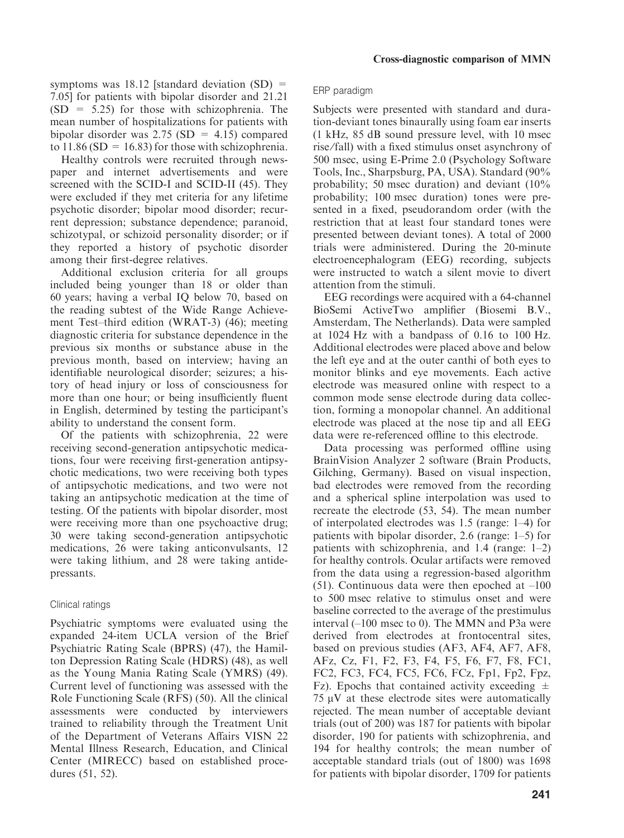symptoms was 18.12 [standard deviation  $(SD)$  = 7.05] for patients with bipolar disorder and 21.21  $(SD = 5.25)$  for those with schizophrenia. The mean number of hospitalizations for patients with bipolar disorder was  $2.75$  (SD = 4.15) compared to  $11.86$  (SD = 16.83) for those with schizophrenia.

Healthy controls were recruited through newspaper and internet advertisements and were screened with the SCID-I and SCID-II (45). They were excluded if they met criteria for any lifetime psychotic disorder; bipolar mood disorder; recurrent depression; substance dependence; paranoid, schizotypal, or schizoid personality disorder; or if they reported a history of psychotic disorder among their first-degree relatives.

Additional exclusion criteria for all groups included being younger than 18 or older than 60 years; having a verbal IQ below 70, based on the reading subtest of the Wide Range Achievement Test–third edition (WRAT-3) (46); meeting diagnostic criteria for substance dependence in the previous six months or substance abuse in the previous month, based on interview; having an identifiable neurological disorder; seizures; a history of head injury or loss of consciousness for more than one hour; or being insufficiently fluent in English, determined by testing the participant's ability to understand the consent form.

Of the patients with schizophrenia, 22 were receiving second-generation antipsychotic medications, four were receiving first-generation antipsychotic medications, two were receiving both types of antipsychotic medications, and two were not taking an antipsychotic medication at the time of testing. Of the patients with bipolar disorder, most were receiving more than one psychoactive drug; 30 were taking second-generation antipsychotic medications, 26 were taking anticonvulsants, 12 were taking lithium, and 28 were taking antidepressants.

#### Clinical ratings

Psychiatric symptoms were evaluated using the expanded 24-item UCLA version of the Brief Psychiatric Rating Scale (BPRS) (47), the Hamilton Depression Rating Scale (HDRS) (48), as well as the Young Mania Rating Scale (YMRS) (49). Current level of functioning was assessed with the Role Functioning Scale (RFS) (50). All the clinical assessments were conducted by interviewers trained to reliability through the Treatment Unit of the Department of Veterans Affairs VISN 22 Mental Illness Research, Education, and Clinical Center (MIRECC) based on established procedures (51, 52).

#### ERP paradigm

Subjects were presented with standard and duration-deviant tones binaurally using foam ear inserts (1 kHz, 85 dB sound pressure level, with 10 msec rise ⁄fall) with a fixed stimulus onset asynchrony of 500 msec, using E-Prime 2.0 (Psychology Software Tools, Inc., Sharpsburg, PA, USA). Standard (90% probability; 50 msec duration) and deviant (10% probability; 100 msec duration) tones were presented in a fixed, pseudorandom order (with the restriction that at least four standard tones were presented between deviant tones). A total of 2000 trials were administered. During the 20-minute electroencephalogram (EEG) recording, subjects were instructed to watch a silent movie to divert attention from the stimuli.

EEG recordings were acquired with a 64-channel BioSemi ActiveTwo amplifier (Biosemi B.V., Amsterdam, The Netherlands). Data were sampled at 1024 Hz with a bandpass of 0.16 to 100 Hz. Additional electrodes were placed above and below the left eye and at the outer canthi of both eyes to monitor blinks and eye movements. Each active electrode was measured online with respect to a common mode sense electrode during data collection, forming a monopolar channel. An additional electrode was placed at the nose tip and all EEG data were re-referenced offline to this electrode.

Data processing was performed offline using BrainVision Analyzer 2 software (Brain Products, Gilching, Germany). Based on visual inspection, bad electrodes were removed from the recording and a spherical spline interpolation was used to recreate the electrode (53, 54). The mean number of interpolated electrodes was 1.5 (range: 1–4) for patients with bipolar disorder, 2.6 (range: 1–5) for patients with schizophrenia, and 1.4 (range: 1–2) for healthy controls. Ocular artifacts were removed from the data using a regression-based algorithm (51). Continuous data were then epoched at  $-100$ to 500 msec relative to stimulus onset and were baseline corrected to the average of the prestimulus interval (–100 msec to 0). The MMN and P3a were derived from electrodes at frontocentral sites, based on previous studies (AF3, AF4, AF7, AF8, AFz, Cz, F1, F2, F3, F4, F5, F6, F7, F8, FC1, FC2, FC3, FC4, FC5, FC6, FCz, Fp1, Fp2, Fpz, Fz). Epochs that contained activity exceeding  $\pm$  $75 \mu$ V at these electrode sites were automatically rejected. The mean number of acceptable deviant trials (out of 200) was 187 for patients with bipolar disorder, 190 for patients with schizophrenia, and 194 for healthy controls; the mean number of acceptable standard trials (out of 1800) was 1698 for patients with bipolar disorder, 1709 for patients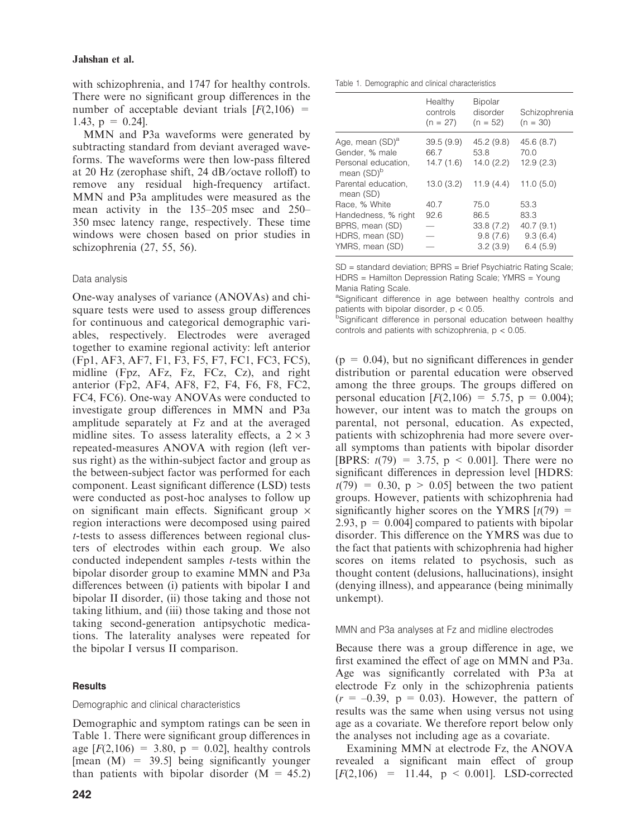with schizophrenia, and 1747 for healthy controls. There were no significant group differences in the number of acceptable deviant trials  $[F(2,106) =$ 1.43,  $p = 0.24$ ].

MMN and P3a waveforms were generated by subtracting standard from deviant averaged waveforms. The waveforms were then low-pass filtered at 20 Hz (zerophase shift, 24 dB ⁄octave rolloff) to remove any residual high-frequency artifact. MMN and P3a amplitudes were measured as the mean activity in the 135–205 msec and 250– 350 msec latency range, respectively. These time windows were chosen based on prior studies in schizophrenia (27, 55, 56).

## Data analysis

One-way analyses of variance (ANOVAs) and chisquare tests were used to assess group differences for continuous and categorical demographic variables, respectively. Electrodes were averaged together to examine regional activity: left anterior (Fp1, AF3, AF7, F1, F3, F5, F7, FC1, FC3, FC5), midline (Fpz, AFz, Fz, FCz, Cz), and right anterior (Fp2, AF4, AF8, F2, F4, F6, F8, FC2, FC4, FC6). One-way ANOVAs were conducted to investigate group differences in MMN and P3a amplitude separately at Fz and at the averaged midline sites. To assess laterality effects, a  $2 \times 3$ repeated-measures ANOVA with region (left versus right) as the within-subject factor and group as the between-subject factor was performed for each component. Least significant difference (LSD) tests were conducted as post-hoc analyses to follow up on significant main effects. Significant group  $\times$ region interactions were decomposed using paired t-tests to assess differences between regional clusters of electrodes within each group. We also conducted independent samples t-tests within the bipolar disorder group to examine MMN and P3a differences between (i) patients with bipolar I and bipolar II disorder, (ii) those taking and those not taking lithium, and (iii) those taking and those not taking second-generation antipsychotic medications. The laterality analyses were repeated for the bipolar I versus II comparison.

## **Results**

## Demographic and clinical characteristics

Demographic and symptom ratings can be seen in Table 1. There were significant group differences in age  $[F(2,106) = 3.80, p = 0.02]$ , healthy controls [mean  $(M) = 39.5$ ] being significantly younger than patients with bipolar disorder  $(M = 45.2)$ 

Table 1. Demographic and clinical characteristics

|                                               | Healthy<br>controls<br>$(n = 27)$ | <b>Bipolar</b><br>disorder<br>$(n = 52)$ | Schizophrenia<br>$(n = 30)$ |
|-----------------------------------------------|-----------------------------------|------------------------------------------|-----------------------------|
| Age, mean (SD) <sup>a</sup>                   | 39.5(9.9)                         | 45.2(9.8)                                | 45.6(8.7)                   |
| Gender, % male                                | 66.7                              | 53.8                                     | 70.0                        |
| Personal education.<br>mean (SD) <sup>b</sup> | 14.7(1.6)                         | 14.0(2.2)                                | 12.9(2.3)                   |
| Parental education.<br>mean (SD)              | 13.0(3.2)                         | 11.9(4.4)                                | 11.0(5.0)                   |
| Race, % White                                 | 40.7                              | 75.0                                     | 53.3                        |
| Handedness, % right                           | 92.6                              | 86.5                                     | 83.3                        |
| BPRS, mean (SD)                               |                                   | 33.8(7.2)                                | 40.7(9.1)                   |
| HDRS, mean (SD)                               |                                   | 9.8(7.6)                                 | 9.3(6.4)                    |
| YMRS, mean (SD)                               |                                   | 3.2(3.9)                                 | 6.4(5.9)                    |

SD = standard deviation; BPRS = Brief Psychiatric Rating Scale; HDRS = Hamilton Depression Rating Scale; YMRS = Young Mania Rating Scale.

aSignificant difference in age between healthy controls and patients with bipolar disorder,  $p < 0.05$ .

<sup>b</sup>Significant difference in personal education between healthy controls and patients with schizophrenia, p < 0.05.

 $(p = 0.04)$ , but no significant differences in gender distribution or parental education were observed among the three groups. The groups differed on personal education  $[F(2,106) = 5.75, p = 0.004);$ however, our intent was to match the groups on parental, not personal, education. As expected, patients with schizophrenia had more severe overall symptoms than patients with bipolar disorder [BPRS:  $t(79) = 3.75$ ,  $p \le 0.001$ ]. There were no significant differences in depression level [HDRS:  $t(79) = 0.30$ ,  $p > 0.05$  between the two patient groups. However, patients with schizophrenia had significantly higher scores on the YMRS  $[t(79) =$ 2.93,  $p = 0.004$  compared to patients with bipolar disorder. This difference on the YMRS was due to the fact that patients with schizophrenia had higher scores on items related to psychosis, such as thought content (delusions, hallucinations), insight (denying illness), and appearance (being minimally unkempt).

## MMN and P3a analyses at Fz and midline electrodes

Because there was a group difference in age, we first examined the effect of age on MMN and P3a. Age was significantly correlated with P3a at electrode Fz only in the schizophrenia patients  $(r = -0.39, p = 0.03)$ . However, the pattern of results was the same when using versus not using age as a covariate. We therefore report below only the analyses not including age as a covariate.

Examining MMN at electrode Fz, the ANOVA revealed a significant main effect of group  $[F(2,106) = 11.44, p < 0.001]$ . LSD-corrected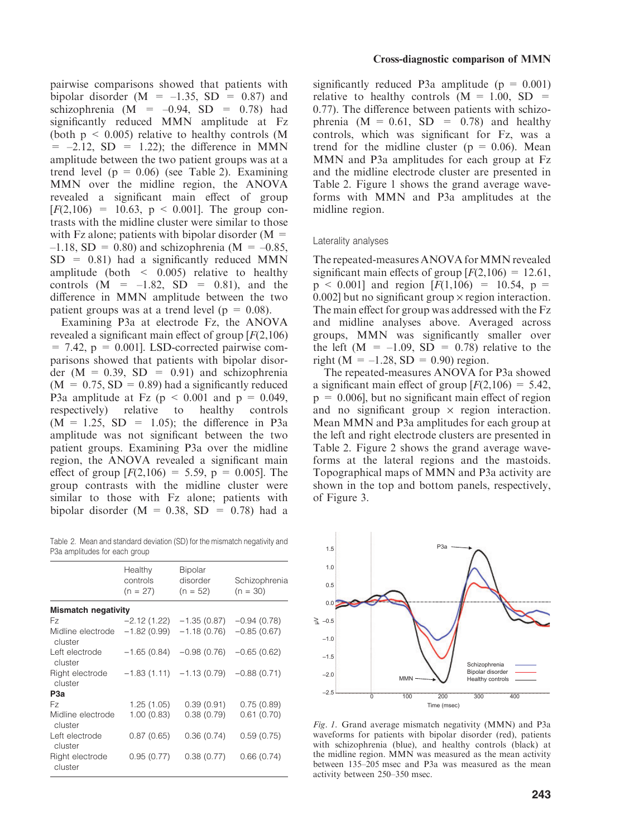pairwise comparisons showed that patients with bipolar disorder  $(M = -1.35, SD = 0.87)$  and schizophrenia (M =  $-0.94$ , SD = 0.78) had significantly reduced MMN amplitude at Fz (both  $p \leq 0.005$ ) relative to healthy controls (M)  $= -2.12$ , SD  $= 1.22$ ; the difference in MMN amplitude between the two patient groups was at a trend level ( $p = 0.06$ ) (see Table 2). Examining MMN over the midline region, the ANOVA revealed a significant main effect of group  $[F(2,106) = 10.63, p \le 0.001]$ . The group contrasts with the midline cluster were similar to those with Fz alone; patients with bipolar disorder  $(M =$  $-1.18$ , SD = 0.80) and schizophrenia (M =  $-0.85$ ,  $SD = 0.81$ ) had a significantly reduced MMN amplitude (both  $\leq$  0.005) relative to healthy controls  $(M = -1.82, SD = 0.81)$ , and the difference in MMN amplitude between the two patient groups was at a trend level ( $p = 0.08$ ).

Examining P3a at electrode Fz, the ANOVA revealed a significant main effect of group  $[F(2,106)]$  $= 7.42$ ,  $p = 0.001$ . LSD-corrected pairwise comparisons showed that patients with bipolar disorder  $(M = 0.39, SD = 0.91)$  and schizophrenia  $(M = 0.75, SD = 0.89)$  had a significantly reduced P3a amplitude at Fz ( $p \le 0.001$  and  $p = 0.049$ , respectively) relative to healthy controls  $(M = 1.25, SD = 1.05)$ ; the difference in P3a amplitude was not significant between the two patient groups. Examining P3a over the midline region, the ANOVA revealed a significant main effect of group  $[F(2,106) = 5.59, p = 0.005]$ . The group contrasts with the midline cluster were similar to those with Fz alone; patients with bipolar disorder  $(M = 0.38, SD = 0.78)$  had a

Table 2. Mean and standard deviation (SD) for the mismatch negativity and P3a amplitudes for each group

|                              | Healthy<br>controls<br>$(n = 27)$ | <b>Bipolar</b><br>disorder<br>$(n = 52)$ | Schizophrenia<br>$(n = 30)$ |
|------------------------------|-----------------------------------|------------------------------------------|-----------------------------|
| <b>Mismatch negativity</b>   |                                   |                                          |                             |
| Fz                           | -2.12 (1.22)                      | $-1.35(0.87)$                            | $-0.94(0.78)$               |
| Midline electrode<br>cluster | $-1.82(0.99)$                     | $-1.18(0.76)$                            | $-0.85(0.67)$               |
| Left electrode<br>cluster    | $-1.65(0.84)$                     | $-0.98(0.76)$                            | $-0.65(0.62)$               |
| Right electrode<br>cluster   |                                   | $-1.83(1.11) -1.13(0.79)$                | $-0.88(0.71)$               |
| P3a                          |                                   |                                          |                             |
| Fz.                          | 1.25(1.05)                        | 0.39(0.91)                               | 0.75(0.89)                  |
| Midline electrode<br>cluster | 1.00(0.83)                        | 0.38(0.79)                               | 0.61(0.70)                  |
| Left electrode<br>cluster    | 0.87(0.65)                        | 0.36(0.74)                               | 0.59(0.75)                  |
| Right electrode<br>cluster   | 0.95(0.77)                        | 0.38(0.77)                               | 0.66(0.74)                  |

significantly reduced P3a amplitude ( $p = 0.001$ ) relative to healthy controls  $(M = 1.00, SD =$ 0.77). The difference between patients with schizophrenia  $(M = 0.61, SD = 0.78)$  and healthy controls, which was significant for Fz, was a trend for the midline cluster ( $p = 0.06$ ). Mean MMN and P3a amplitudes for each group at Fz and the midline electrode cluster are presented in Table 2. Figure 1 shows the grand average waveforms with MMN and P3a amplitudes at the midline region.

#### Laterality analyses

The repeated-measures ANOVA for MMN revealed significant main effects of group  $[F(2,106) = 12.61]$ ,  $p \le 0.001$ ] and region  $[F(1,106) = 10.54, p =$ 0.002] but no significant group  $\times$  region interaction. The main effect for group was addressed with the Fz and midline analyses above. Averaged across groups, MMN was significantly smaller over the left  $(M = -1.09, SD = 0.78)$  relative to the right ( $M = -1.28$ ,  $SD = 0.90$ ) region.

The repeated-measures ANOVA for P3a showed a significant main effect of group  $[F(2,106) = 5.42]$ ,  $p = 0.006$ , but no significant main effect of region and no significant group  $\times$  region interaction. Mean MMN and P3a amplitudes for each group at the left and right electrode clusters are presented in Table 2. Figure 2 shows the grand average waveforms at the lateral regions and the mastoids. Topographical maps of MMN and P3a activity are shown in the top and bottom panels, respectively, of Figure 3.



Fig. 1. Grand average mismatch negativity (MMN) and P3a waveforms for patients with bipolar disorder (red), patients with schizophrenia (blue), and healthy controls (black) at the midline region. MMN was measured as the mean activity between 135–205 msec and P3a was measured as the mean activity between 250–350 msec.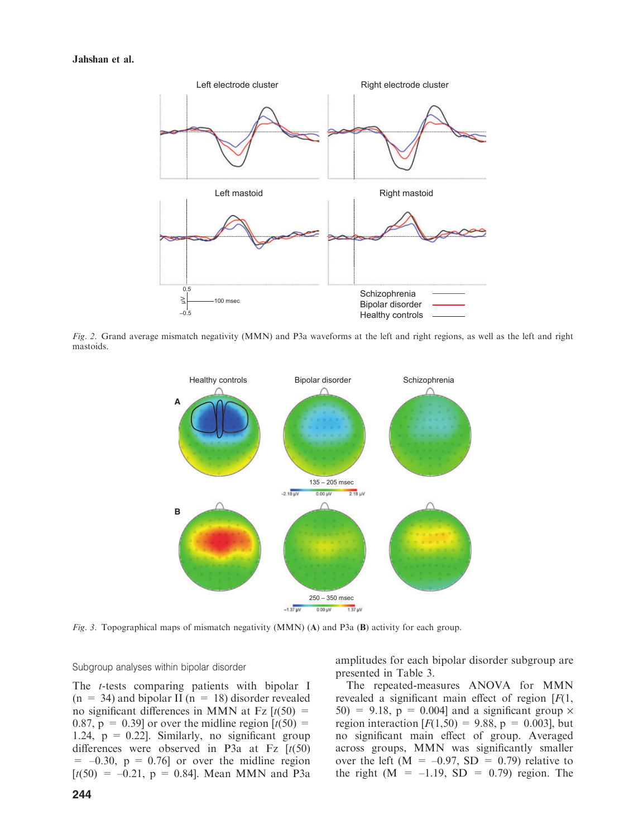

Fig. 2. Grand average mismatch negativity (MMN) and P3a waveforms at the left and right regions, as well as the left and right mastoids.



Fig. 3. Topographical maps of mismatch negativity (MMN) (A) and P3a (B) activity for each group.

#### Subgroup analyses within bipolar disorder

The t-tests comparing patients with bipolar I  $(n = 34)$  and bipolar II  $(n = 18)$  disorder revealed no significant differences in MMN at Fz  $[t(50) =$ 0.87,  $p = 0.39$  or over the midline region  $\left[t(50)\right]$ 1.24,  $p = 0.22$ . Similarly, no significant group differences were observed in P3a at Fz  $[t(50)$  $= -0.30$ ,  $p = 0.76$  or over the midline region  $[t(50) = -0.21, p = 0.84]$ . Mean MMN and P3a amplitudes for each bipolar disorder subgroup are presented in Table 3.

The repeated-measures ANOVA for MMN revealed a significant main effect of region  $[F(1,$  $50$ ) = 9.18, p = 0.004] and a significant group  $\times$ region interaction  $[F(1,50) = 9.88, p = 0.003]$ , but no significant main effect of group. Averaged across groups, MMN was significantly smaller over the left ( $M = -0.97$ , SD = 0.79) relative to the right  $(M = -1.19, SD = 0.79)$  region. The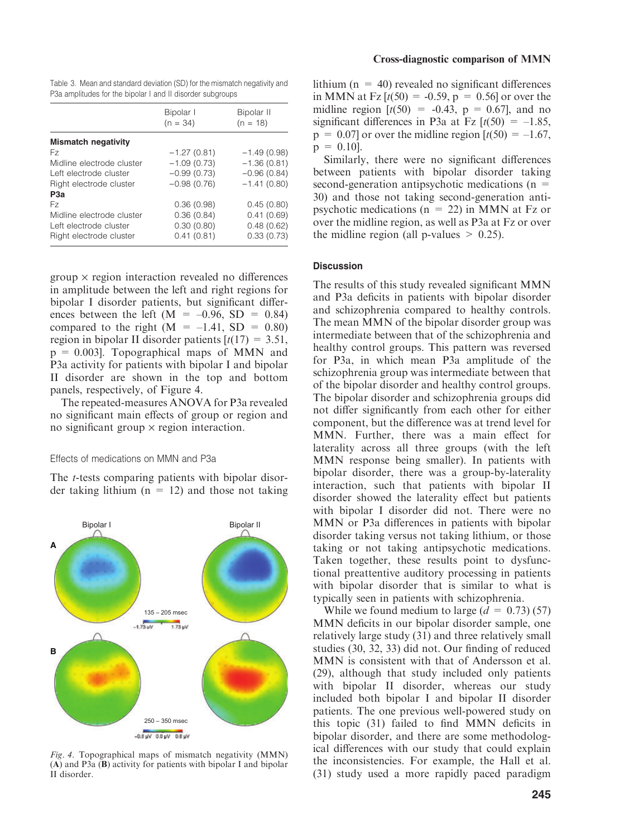|  |  | Table 3. Mean and standard deviation (SD) for the mismatch negativity and |  |
|--|--|---------------------------------------------------------------------------|--|
|  |  | P3a amplitudes for the bipolar I and II disorder subgroups                |  |

|                            | Bipolar I<br>$(n = 34)$ | Bipolar II<br>$(n = 18)$ |
|----------------------------|-------------------------|--------------------------|
| <b>Mismatch negativity</b> |                         |                          |
| Fz.                        | $-1.27(0.81)$           | $-1.49(0.98)$            |
| Midline electrode cluster  | $-1.09(0.73)$           | $-1.36(0.81)$            |
| Left electrode cluster     | $-0.99(0.73)$           | $-0.96(0.84)$            |
| Right electrode cluster    | $-0.98(0.76)$           | $-1.41(0.80)$            |
| P <sub>3</sub> a           |                         |                          |
| Fz.                        | 0.36(0.98)              | 0.45(0.80)               |
| Midline electrode cluster  | 0.36(0.84)              | 0.41(0.69)               |
| Left electrode cluster     | 0.30(0.80)              | 0.48(0.62)               |
| Right electrode cluster    | 0.41(0.81)              | 0.33(0.73)               |

 $group \times region interaction revealed no differences$ in amplitude between the left and right regions for bipolar I disorder patients, but significant differences between the left  $(M = -0.96, SD = 0.84)$ compared to the right  $(M = -1.41, SD = 0.80)$ region in bipolar II disorder patients  $[t(17) = 3.51]$ ,  $p = 0.003$ . Topographical maps of MMN and P3a activity for patients with bipolar I and bipolar II disorder are shown in the top and bottom panels, respectively, of Figure 4.

The repeated-measures ANOVA for P3a revealed no significant main effects of group or region and no significant group  $\times$  region interaction.

### Effects of medications on MMN and P3a

The t-tests comparing patients with bipolar disorder taking lithium  $(n = 12)$  and those not taking



Fig. 4. Topographical maps of mismatch negativity (MMN) (A) and P3a (B) activity for patients with bipolar I and bipolar II disorder.

lithium  $(n = 40)$  revealed no significant differences in MMN at Fz  $[t(50) = -0.59, p = 0.56]$  or over the midline region  $[t(50) = -0.43, p = 0.67]$ , and no significant differences in P3a at Fz  $[t(50) = -1.85]$ ,  $p = 0.07$  or over the midline region  $\left[t(50) = -1.67\right]$ ,  $p = 0.10$ .

Similarly, there were no significant differences between patients with bipolar disorder taking second-generation antipsychotic medications  $(n =$ 30) and those not taking second-generation antipsychotic medications ( $n = 22$ ) in MMN at Fz or over the midline region, as well as P3a at Fz or over the midline region (all p-values  $> 0.25$ ).

#### **Discussion**

The results of this study revealed significant MMN and P3a deficits in patients with bipolar disorder and schizophrenia compared to healthy controls. The mean MMN of the bipolar disorder group was intermediate between that of the schizophrenia and healthy control groups. This pattern was reversed for P3a, in which mean P3a amplitude of the schizophrenia group was intermediate between that of the bipolar disorder and healthy control groups. The bipolar disorder and schizophrenia groups did not differ significantly from each other for either component, but the difference was at trend level for MMN. Further, there was a main effect for laterality across all three groups (with the left MMN response being smaller). In patients with bipolar disorder, there was a group-by-laterality interaction, such that patients with bipolar II disorder showed the laterality effect but patients with bipolar I disorder did not. There were no MMN or P3a differences in patients with bipolar disorder taking versus not taking lithium, or those taking or not taking antipsychotic medications. Taken together, these results point to dysfunctional preattentive auditory processing in patients with bipolar disorder that is similar to what is typically seen in patients with schizophrenia.

While we found medium to large  $(d = 0.73)$  (57) MMN deficits in our bipolar disorder sample, one relatively large study (31) and three relatively small studies (30, 32, 33) did not. Our finding of reduced MMN is consistent with that of Andersson et al. (29), although that study included only patients with bipolar II disorder, whereas our study included both bipolar I and bipolar II disorder patients. The one previous well-powered study on this topic (31) failed to find MMN deficits in bipolar disorder, and there are some methodological differences with our study that could explain the inconsistencies. For example, the Hall et al. (31) study used a more rapidly paced paradigm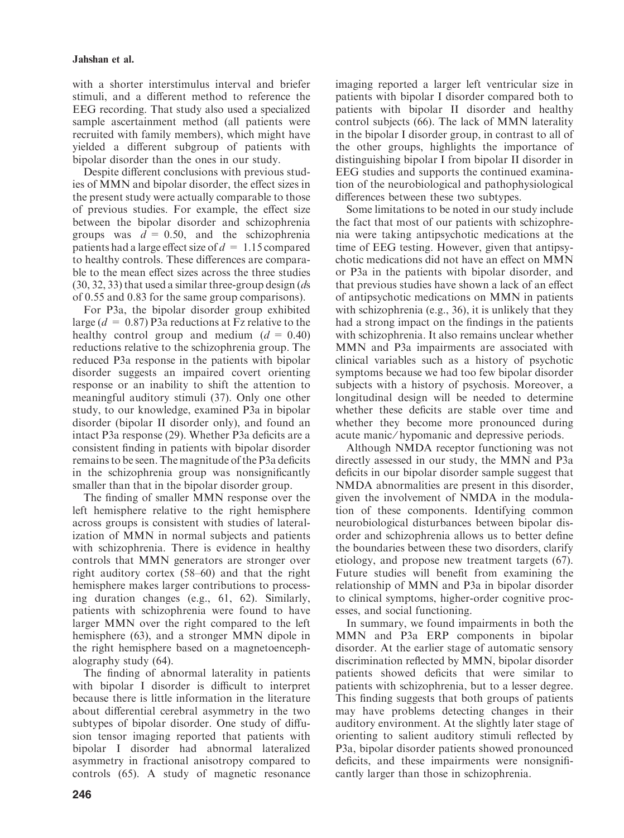## Jahshan et al.

with a shorter interstimulus interval and briefer stimuli, and a different method to reference the EEG recording. That study also used a specialized sample ascertainment method (all patients were recruited with family members), which might have yielded a different subgroup of patients with bipolar disorder than the ones in our study.

Despite different conclusions with previous studies of MMN and bipolar disorder, the effect sizes in the present study were actually comparable to those of previous studies. For example, the effect size between the bipolar disorder and schizophrenia groups was  $d = 0.50$ , and the schizophrenia patients had a large effect size of  $d = 1.15$  compared to healthy controls. These differences are comparable to the mean effect sizes across the three studies  $(30, 32, 33)$  that used a similar three-group design  $(ds)$ of 0.55 and 0.83 for the same group comparisons).

For P3a, the bipolar disorder group exhibited large ( $d = 0.87$ ) P3a reductions at Fz relative to the healthy control group and medium  $(d = 0.40)$ reductions relative to the schizophrenia group. The reduced P3a response in the patients with bipolar disorder suggests an impaired covert orienting response or an inability to shift the attention to meaningful auditory stimuli (37). Only one other study, to our knowledge, examined P3a in bipolar disorder (bipolar II disorder only), and found an intact P3a response (29). Whether P3a deficits are a consistent finding in patients with bipolar disorder remains to be seen. The magnitude of the P3a deficits in the schizophrenia group was nonsignificantly smaller than that in the bipolar disorder group.

The finding of smaller MMN response over the left hemisphere relative to the right hemisphere across groups is consistent with studies of lateralization of MMN in normal subjects and patients with schizophrenia. There is evidence in healthy controls that MMN generators are stronger over right auditory cortex (58–60) and that the right hemisphere makes larger contributions to processing duration changes (e.g., 61, 62). Similarly, patients with schizophrenia were found to have larger MMN over the right compared to the left hemisphere (63), and a stronger MMN dipole in the right hemisphere based on a magnetoencephalography study (64).

The finding of abnormal laterality in patients with bipolar I disorder is difficult to interpret because there is little information in the literature about differential cerebral asymmetry in the two subtypes of bipolar disorder. One study of diffusion tensor imaging reported that patients with bipolar I disorder had abnormal lateralized asymmetry in fractional anisotropy compared to controls (65). A study of magnetic resonance

imaging reported a larger left ventricular size in patients with bipolar I disorder compared both to patients with bipolar II disorder and healthy control subjects (66). The lack of MMN laterality in the bipolar I disorder group, in contrast to all of the other groups, highlights the importance of distinguishing bipolar I from bipolar II disorder in EEG studies and supports the continued examination of the neurobiological and pathophysiological differences between these two subtypes.

Some limitations to be noted in our study include the fact that most of our patients with schizophrenia were taking antipsychotic medications at the time of EEG testing. However, given that antipsychotic medications did not have an effect on MMN or P3a in the patients with bipolar disorder, and that previous studies have shown a lack of an effect of antipsychotic medications on MMN in patients with schizophrenia (e.g., 36), it is unlikely that they had a strong impact on the findings in the patients with schizophrenia. It also remains unclear whether MMN and P3a impairments are associated with clinical variables such as a history of psychotic symptoms because we had too few bipolar disorder subjects with a history of psychosis. Moreover, a longitudinal design will be needed to determine whether these deficits are stable over time and whether they become more pronounced during acute manic/hypomanic and depressive periods.

Although NMDA receptor functioning was not directly assessed in our study, the MMN and P3a deficits in our bipolar disorder sample suggest that NMDA abnormalities are present in this disorder, given the involvement of NMDA in the modulation of these components. Identifying common neurobiological disturbances between bipolar disorder and schizophrenia allows us to better define the boundaries between these two disorders, clarify etiology, and propose new treatment targets (67). Future studies will benefit from examining the relationship of MMN and P3a in bipolar disorder to clinical symptoms, higher-order cognitive processes, and social functioning.

In summary, we found impairments in both the MMN and P3a ERP components in bipolar disorder. At the earlier stage of automatic sensory discrimination reflected by MMN, bipolar disorder patients showed deficits that were similar to patients with schizophrenia, but to a lesser degree. This finding suggests that both groups of patients may have problems detecting changes in their auditory environment. At the slightly later stage of orienting to salient auditory stimuli reflected by P3a, bipolar disorder patients showed pronounced deficits, and these impairments were nonsignificantly larger than those in schizophrenia.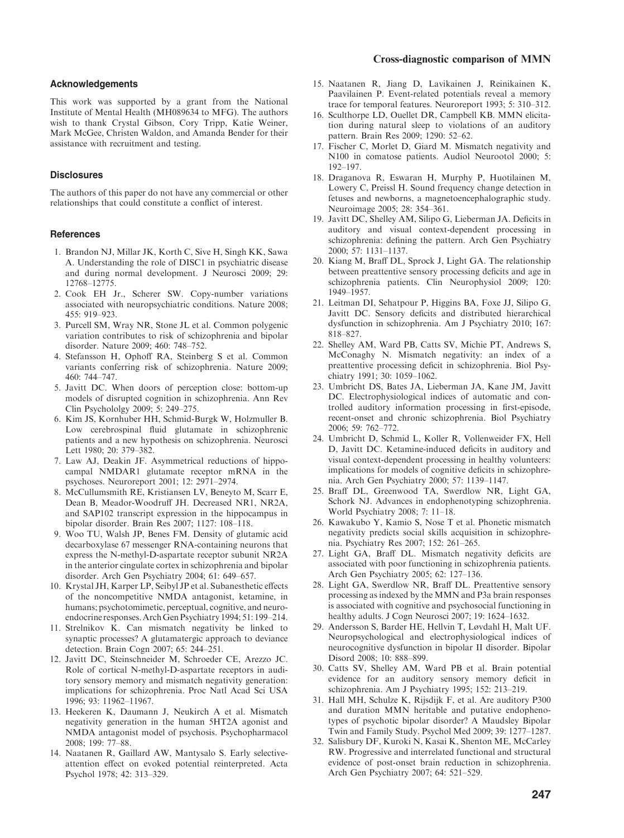#### Acknowledgements

This work was supported by a grant from the National Institute of Mental Health (MH089634 to MFG). The authors wish to thank Crystal Gibson, Cory Tripp, Katie Weiner, Mark McGee, Christen Waldon, and Amanda Bender for their assistance with recruitment and testing.

#### **Disclosures**

The authors of this paper do not have any commercial or other relationships that could constitute a conflict of interest.

#### References

- 1. Brandon NJ, Millar JK, Korth C, Sive H, Singh KK, Sawa A. Understanding the role of DISC1 in psychiatric disease and during normal development. J Neurosci 2009; 29: 12768–12775.
- 2. Cook EH Jr., Scherer SW. Copy-number variations associated with neuropsychiatric conditions. Nature 2008; 455: 919–923.
- 3. Purcell SM, Wray NR, Stone JL et al. Common polygenic variation contributes to risk of schizophrenia and bipolar disorder. Nature 2009; 460: 748–752.
- 4. Stefansson H, Ophoff RA, Steinberg S et al. Common variants conferring risk of schizophrenia. Nature 2009; 460: 744–747.
- 5. Javitt DC. When doors of perception close: bottom-up models of disrupted cognition in schizophrenia. Ann Rev Clin Psychololgy 2009; 5: 249–275.
- 6. Kim JS, Kornhuber HH, Schmid-Burgk W, Holzmuller B. Low cerebrospinal fluid glutamate in schizophrenic patients and a new hypothesis on schizophrenia. Neurosci Lett 1980; 20: 379–382.
- 7. Law AJ, Deakin JF. Asymmetrical reductions of hippocampal NMDAR1 glutamate receptor mRNA in the psychoses. Neuroreport 2001; 12: 2971–2974.
- 8. McCullumsmith RE, Kristiansen LV, Beneyto M, Scarr E, Dean B, Meador-Woodruff JH. Decreased NR1, NR2A, and SAP102 transcript expression in the hippocampus in bipolar disorder. Brain Res 2007; 1127: 108–118.
- 9. Woo TU, Walsh JP, Benes FM. Density of glutamic acid decarboxylase 67 messenger RNA-containing neurons that express the N-methyl-D-aspartate receptor subunit NR2A in the anterior cingulate cortex in schizophrenia and bipolar disorder. Arch Gen Psychiatry 2004; 61: 649–657.
- 10. Krystal JH, Karper LP, Seibyl JP et al. Subanesthetic effects of the noncompetitive NMDA antagonist, ketamine, in humans; psychotomimetic, perceptual, cognitive, and neuroendocrine responses. Arch Gen Psychiatry 1994; 51: 199–214.
- 11. Strelnikov K. Can mismatch negativity be linked to synaptic processes? A glutamatergic approach to deviance detection. Brain Cogn 2007; 65: 244–251.
- 12. Javitt DC, Steinschneider M, Schroeder CE, Arezzo JC. Role of cortical N-methyl-D-aspartate receptors in auditory sensory memory and mismatch negativity generation: implications for schizophrenia. Proc Natl Acad Sci USA 1996; 93: 11962–11967.
- 13. Heekeren K, Daumann J, Neukirch A et al. Mismatch negativity generation in the human 5HT2A agonist and NMDA antagonist model of psychosis. Psychopharmacol 2008; 199: 77–88.
- 14. Naatanen R, Gaillard AW, Mantysalo S. Early selectiveattention effect on evoked potential reinterpreted. Acta Psychol 1978; 42: 313–329.

#### Cross-diagnostic comparison of MMN

- 15. Naatanen R, Jiang D, Lavikainen J, Reinikainen K, Paavilainen P. Event-related potentials reveal a memory trace for temporal features. Neuroreport 1993; 5: 310–312.
- 16. Sculthorpe LD, Ouellet DR, Campbell KB. MMN elicitation during natural sleep to violations of an auditory pattern. Brain Res 2009; 1290: 52–62.
- 17. Fischer C, Morlet D, Giard M. Mismatch negativity and N100 in comatose patients. Audiol Neurootol 2000; 5: 192–197.
- 18. Draganova R, Eswaran H, Murphy P, Huotilainen M, Lowery C, Preissl H. Sound frequency change detection in fetuses and newborns, a magnetoencephalographic study. Neuroimage 2005; 28: 354–361.
- 19. Javitt DC, Shelley AM, Silipo G, Lieberman JA. Deficits in auditory and visual context-dependent processing in schizophrenia: defining the pattern. Arch Gen Psychiatry 2000; 57: 1131–1137.
- 20. Kiang M, Braff DL, Sprock J, Light GA. The relationship between preattentive sensory processing deficits and age in schizophrenia patients. Clin Neurophysiol 2009; 120: 1949–1957.
- 21. Leitman DI, Sehatpour P, Higgins BA, Foxe JJ, Silipo G, Javitt DC. Sensory deficits and distributed hierarchical dysfunction in schizophrenia. Am J Psychiatry 2010; 167: 818–827.
- 22. Shelley AM, Ward PB, Catts SV, Michie PT, Andrews S, McConaghy N. Mismatch negativity: an index of a preattentive processing deficit in schizophrenia. Biol Psychiatry 1991; 30: 1059–1062.
- 23. Umbricht DS, Bates JA, Lieberman JA, Kane JM, Javitt DC. Electrophysiological indices of automatic and controlled auditory information processing in first-episode, recent-onset and chronic schizophrenia. Biol Psychiatry 2006; 59: 762–772.
- 24. Umbricht D, Schmid L, Koller R, Vollenweider FX, Hell D, Javitt DC. Ketamine-induced deficits in auditory and visual context-dependent processing in healthy volunteers: implications for models of cognitive deficits in schizophrenia. Arch Gen Psychiatry 2000; 57: 1139–1147.
- 25. Braff DL, Greenwood TA, Swerdlow NR, Light GA, Schork NJ. Advances in endophenotyping schizophrenia. World Psychiatry 2008; 7: 11–18.
- 26. Kawakubo Y, Kamio S, Nose T et al. Phonetic mismatch negativity predicts social skills acquisition in schizophrenia. Psychiatry Res 2007; 152: 261–265.
- 27. Light GA, Braff DL. Mismatch negativity deficits are associated with poor functioning in schizophrenia patients. Arch Gen Psychiatry 2005; 62: 127–136.
- 28. Light GA, Swerdlow NR, Braff DL. Preattentive sensory processing as indexed by the MMN and P3a brain responses is associated with cognitive and psychosocial functioning in healthy adults. J Cogn Neurosci 2007; 19: 1624–1632.
- 29. Andersson S, Barder HE, Hellvin T, Løvdahl H, Malt UF. Neuropsychological and electrophysiological indices of neurocognitive dysfunction in bipolar II disorder. Bipolar Disord 2008; 10: 888–899.
- 30. Catts SV, Shelley AM, Ward PB et al. Brain potential evidence for an auditory sensory memory deficit in schizophrenia. Am J Psychiatry 1995; 152: 213–219.
- 31. Hall MH, Schulze K, Rijsdijk F, et al. Are auditory P300 and duration MMN heritable and putative endophenotypes of psychotic bipolar disorder? A Maudsley Bipolar Twin and Family Study. Psychol Med 2009; 39: 1277–1287.
- 32. Salisbury DF, Kuroki N, Kasai K, Shenton ME, McCarley RW. Progressive and interrelated functional and structural evidence of post-onset brain reduction in schizophrenia. Arch Gen Psychiatry 2007; 64: 521–529.